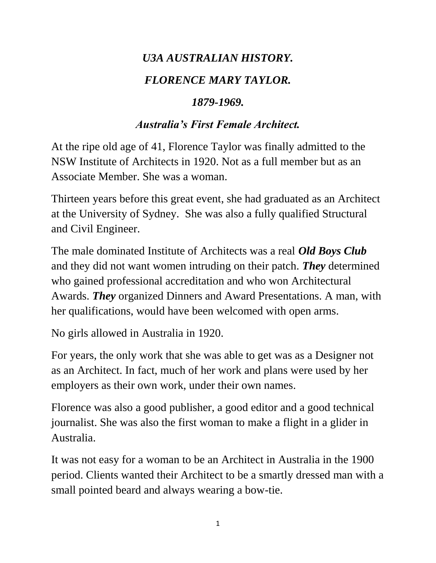# *U3A AUSTRALIAN HISTORY. FLORENCE MARY TAYLOR.*

#### *1879-1969.*

#### *Australia's First Female Architect.*

At the ripe old age of 41, Florence Taylor was finally admitted to the NSW Institute of Architects in 1920. Not as a full member but as an Associate Member. She was a woman.

Thirteen years before this great event, she had graduated as an Architect at the University of Sydney. She was also a fully qualified Structural and Civil Engineer.

The male dominated Institute of Architects was a real *Old Boys Club* and they did not want women intruding on their patch. *They* determined who gained professional accreditation and who won Architectural Awards. *They* organized Dinners and Award Presentations. A man, with her qualifications, would have been welcomed with open arms.

No girls allowed in Australia in 1920.

For years, the only work that she was able to get was as a Designer not as an Architect. In fact, much of her work and plans were used by her employers as their own work, under their own names.

Florence was also a good publisher, a good editor and a good technical journalist. She was also the first woman to make a flight in a glider in Australia.

It was not easy for a woman to be an Architect in Australia in the 1900 period. Clients wanted their Architect to be a smartly dressed man with a small pointed beard and always wearing a bow-tie.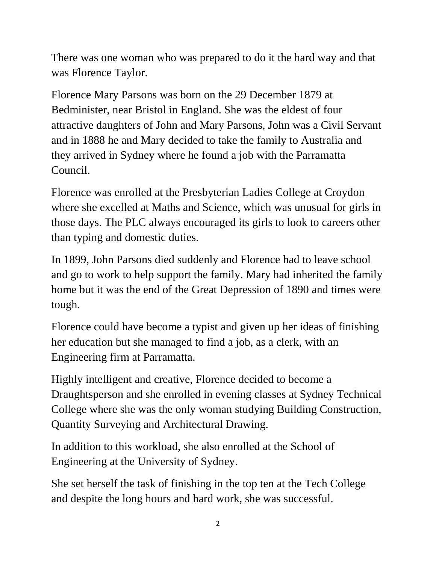There was one woman who was prepared to do it the hard way and that was Florence Taylor.

Florence Mary Parsons was born on the 29 December 1879 at Bedminister, near Bristol in England. She was the eldest of four attractive daughters of John and Mary Parsons, John was a Civil Servant and in 1888 he and Mary decided to take the family to Australia and they arrived in Sydney where he found a job with the Parramatta Council.

Florence was enrolled at the Presbyterian Ladies College at Croydon where she excelled at Maths and Science, which was unusual for girls in those days. The PLC always encouraged its girls to look to careers other than typing and domestic duties.

In 1899, John Parsons died suddenly and Florence had to leave school and go to work to help support the family. Mary had inherited the family home but it was the end of the Great Depression of 1890 and times were tough.

Florence could have become a typist and given up her ideas of finishing her education but she managed to find a job, as a clerk, with an Engineering firm at Parramatta.

Highly intelligent and creative, Florence decided to become a Draughtsperson and she enrolled in evening classes at Sydney Technical College where she was the only woman studying Building Construction, Quantity Surveying and Architectural Drawing.

In addition to this workload, she also enrolled at the School of Engineering at the University of Sydney.

She set herself the task of finishing in the top ten at the Tech College and despite the long hours and hard work, she was successful.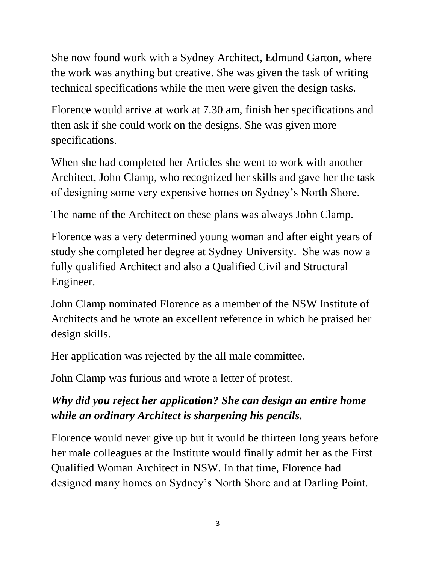She now found work with a Sydney Architect, Edmund Garton, where the work was anything but creative. She was given the task of writing technical specifications while the men were given the design tasks.

Florence would arrive at work at 7.30 am, finish her specifications and then ask if she could work on the designs. She was given more specifications.

When she had completed her Articles she went to work with another Architect, John Clamp, who recognized her skills and gave her the task of designing some very expensive homes on Sydney's North Shore.

The name of the Architect on these plans was always John Clamp.

Florence was a very determined young woman and after eight years of study she completed her degree at Sydney University. She was now a fully qualified Architect and also a Qualified Civil and Structural Engineer.

John Clamp nominated Florence as a member of the NSW Institute of Architects and he wrote an excellent reference in which he praised her design skills.

Her application was rejected by the all male committee.

John Clamp was furious and wrote a letter of protest.

# *Why did you reject her application? She can design an entire home while an ordinary Architect is sharpening his pencils.*

Florence would never give up but it would be thirteen long years before her male colleagues at the Institute would finally admit her as the First Qualified Woman Architect in NSW. In that time, Florence had designed many homes on Sydney's North Shore and at Darling Point.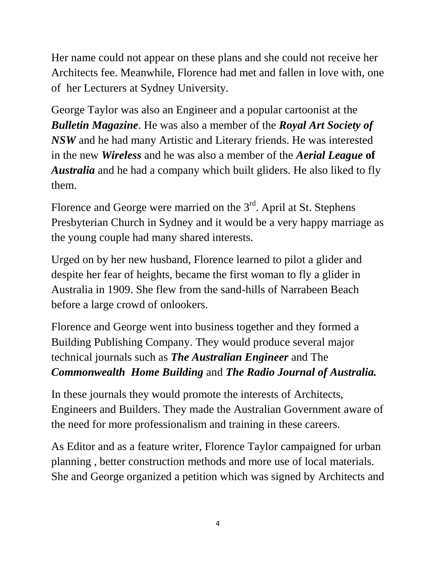Her name could not appear on these plans and she could not receive her Architects fee. Meanwhile, Florence had met and fallen in love with, one of her Lecturers at Sydney University.

George Taylor was also an Engineer and a popular cartoonist at the *Bulletin Magazine*. He was also a member of the *Royal Art Society of NSW* and he had many Artistic and Literary friends. He was interested in the new *Wireless* and he was also a member of the *Aerial League* **of**  *Australia* and he had a company which built gliders. He also liked to fly them.

Florence and George were married on the  $3<sup>rd</sup>$ . April at St. Stephens Presbyterian Church in Sydney and it would be a very happy marriage as the young couple had many shared interests.

Urged on by her new husband, Florence learned to pilot a glider and despite her fear of heights, became the first woman to fly a glider in Australia in 1909. She flew from the sand-hills of Narrabeen Beach before a large crowd of onlookers.

Florence and George went into business together and they formed a Building Publishing Company. They would produce several major technical journals such as *The Australian Engineer* and The *Commonwealth Home Building* and *The Radio Journal of Australia.*

In these journals they would promote the interests of Architects, Engineers and Builders. They made the Australian Government aware of the need for more professionalism and training in these careers.

As Editor and as a feature writer, Florence Taylor campaigned for urban planning , better construction methods and more use of local materials. She and George organized a petition which was signed by Architects and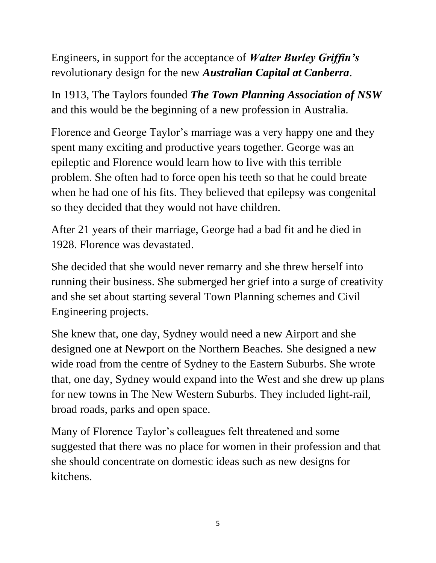Engineers, in support for the acceptance of *Walter Burley Griffin's* revolutionary design for the new *Australian Capital at Canberra*.

In 1913, The Taylors founded *The Town Planning Association of NSW* and this would be the beginning of a new profession in Australia.

Florence and George Taylor's marriage was a very happy one and they spent many exciting and productive years together. George was an epileptic and Florence would learn how to live with this terrible problem. She often had to force open his teeth so that he could breate when he had one of his fits. They believed that epilepsy was congenital so they decided that they would not have children.

After 21 years of their marriage, George had a bad fit and he died in 1928. Florence was devastated.

She decided that she would never remarry and she threw herself into running their business. She submerged her grief into a surge of creativity and she set about starting several Town Planning schemes and Civil Engineering projects.

She knew that, one day, Sydney would need a new Airport and she designed one at Newport on the Northern Beaches. She designed a new wide road from the centre of Sydney to the Eastern Suburbs. She wrote that, one day, Sydney would expand into the West and she drew up plans for new towns in The New Western Suburbs. They included light-rail, broad roads, parks and open space.

Many of Florence Taylor's colleagues felt threatened and some suggested that there was no place for women in their profession and that she should concentrate on domestic ideas such as new designs for kitchens.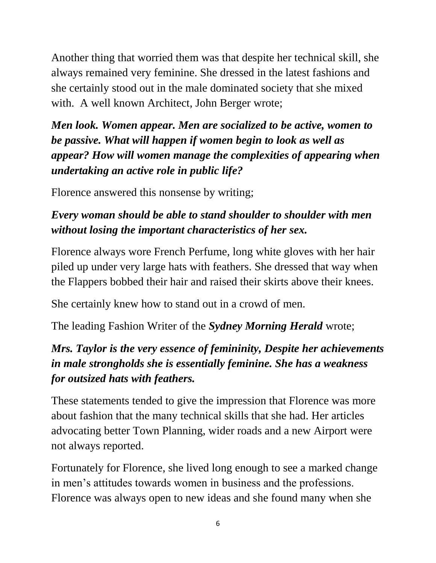Another thing that worried them was that despite her technical skill, she always remained very feminine. She dressed in the latest fashions and she certainly stood out in the male dominated society that she mixed with. A well known Architect, John Berger wrote;

*Men look. Women appear. Men are socialized to be active, women to be passive. What will happen if women begin to look as well as appear? How will women manage the complexities of appearing when undertaking an active role in public life?*

Florence answered this nonsense by writing;

## *Every woman should be able to stand shoulder to shoulder with men without losing the important characteristics of her sex.*

Florence always wore French Perfume, long white gloves with her hair piled up under very large hats with feathers. She dressed that way when the Flappers bobbed their hair and raised their skirts above their knees.

She certainly knew how to stand out in a crowd of men.

The leading Fashion Writer of the *Sydney Morning Herald* wrote;

## *Mrs. Taylor is the very essence of femininity, Despite her achievements in male strongholds she is essentially feminine. She has a weakness for outsized hats with feathers.*

These statements tended to give the impression that Florence was more about fashion that the many technical skills that she had. Her articles advocating better Town Planning, wider roads and a new Airport were not always reported.

Fortunately for Florence, she lived long enough to see a marked change in men's attitudes towards women in business and the professions. Florence was always open to new ideas and she found many when she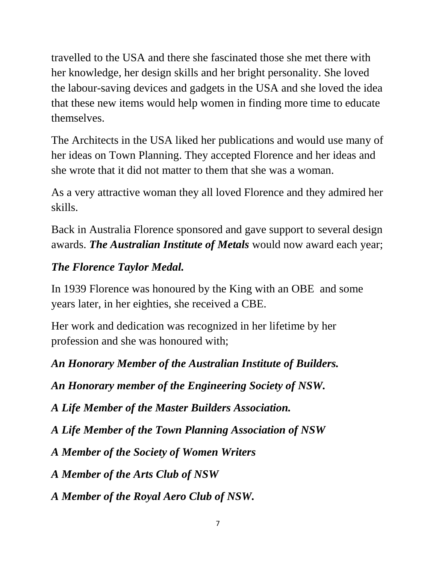travelled to the USA and there she fascinated those she met there with her knowledge, her design skills and her bright personality. She loved the labour-saving devices and gadgets in the USA and she loved the idea that these new items would help women in finding more time to educate themselves.

The Architects in the USA liked her publications and would use many of her ideas on Town Planning. They accepted Florence and her ideas and she wrote that it did not matter to them that she was a woman.

As a very attractive woman they all loved Florence and they admired her skills.

Back in Australia Florence sponsored and gave support to several design awards. *The Australian Institute of Metals* would now award each year;

#### *The Florence Taylor Medal.*

In 1939 Florence was honoured by the King with an OBE and some years later, in her eighties, she received a CBE.

Her work and dedication was recognized in her lifetime by her profession and she was honoured with;

*An Honorary Member of the Australian Institute of Builders.*

*An Honorary member of the Engineering Society of NSW.* 

*A Life Member of the Master Builders Association.*

*A Life Member of the Town Planning Association of NSW*

*A Member of the Society of Women Writers* 

*A Member of the Arts Club of NSW*

*A Member of the Royal Aero Club of NSW.*